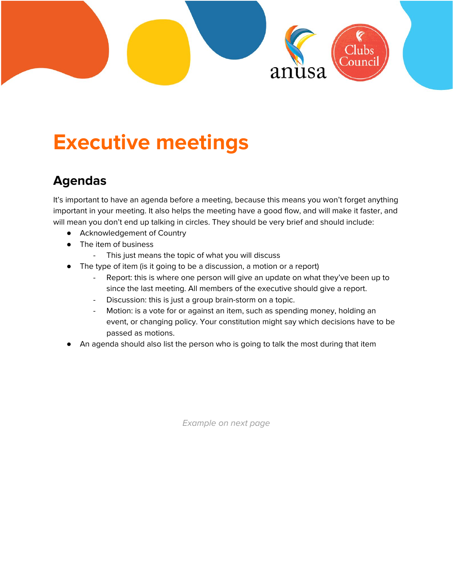

## **Executive meetings**

## **Agendas**

It's important to have an agenda before a meeting, because this means you won't forget anything important in your meeting. It also helps the meeting have a good flow, and will make it faster, and will mean you don't end up talking in circles. They should be very brief and should include:

- Acknowledgement of Country
- The item of business
	- This just means the topic of what you will discuss
- The type of item (is it going to be a discussion, a motion or a report)
	- Report: this is where one person will give an update on what they've been up to since the last meeting. All members of the executive should give a report.
	- Discussion: this is just a group brain-storm on a topic.
	- Motion: is a vote for or against an item, such as spending money, holding an event, or changing policy. Your constitution might say which decisions have to be passed as motions.
- An agenda should also list the person who is going to talk the most during that item

Example on next page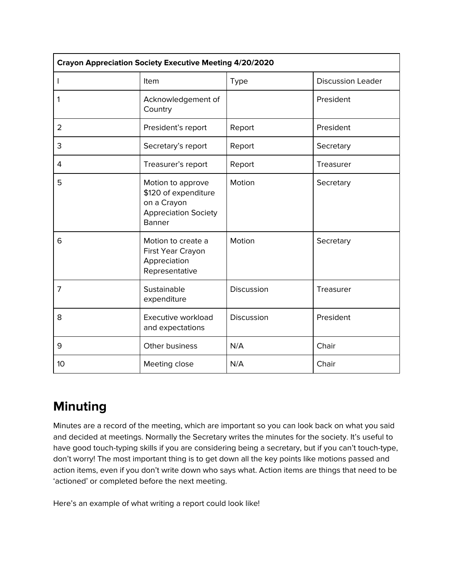| <b>Crayon Appreciation Society Executive Meeting 4/20/2020</b> |                                                                                                          |             |                          |  |
|----------------------------------------------------------------|----------------------------------------------------------------------------------------------------------|-------------|--------------------------|--|
| L                                                              | Item                                                                                                     | <b>Type</b> | <b>Discussion Leader</b> |  |
| 1                                                              | Acknowledgement of<br>Country                                                                            |             | President                |  |
| $\overline{2}$                                                 | President's report                                                                                       | Report      | President                |  |
| 3                                                              | Secretary's report                                                                                       | Report      | Secretary                |  |
| 4                                                              | Treasurer's report                                                                                       | Report      | Treasurer                |  |
| 5                                                              | Motion to approve<br>\$120 of expenditure<br>on a Crayon<br><b>Appreciation Society</b><br><b>Banner</b> | Motion      | Secretary                |  |
| 6                                                              | Motion to create a<br>First Year Crayon<br>Appreciation<br>Representative                                | Motion      | Secretary                |  |
| 7                                                              | Sustainable<br>expenditure                                                                               | Discussion  | Treasurer                |  |
| 8                                                              | Executive workload<br>and expectations                                                                   | Discussion  | President                |  |
| 9                                                              | Other business                                                                                           | N/A         | Chair                    |  |
| 10                                                             | Meeting close                                                                                            | N/A         | Chair                    |  |

## **Minuting**

Minutes are a record of the meeting, which are important so you can look back on what you said and decided at meetings. Normally the Secretary writes the minutes for the society. It's useful to have good touch-typing skills if you are considering being a secretary, but if you can't touch-type, don't worry! The most important thing is to get down all the key points like motions passed and action items, even if you don't write down who says what. Action items are things that need to be 'actioned' or completed before the next meeting.

Here's an example of what writing a report could look like!